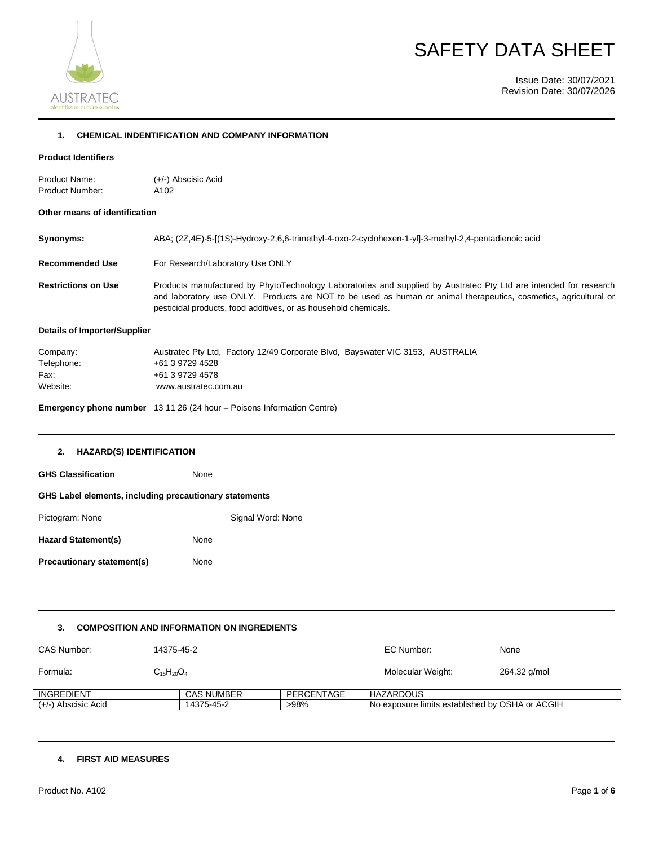

# SAFETY DATA SHEET

Issue Date: 30/07/2021 Revision Date: 30/07/2026

#### **1. CHEMICAL INDENTIFICATION AND COMPANY INFORMATION**

#### **Product Identifiers**

| Product Name:          | $(+/-)$ Abscisic Acid |
|------------------------|-----------------------|
| <b>Product Number:</b> | A102                  |

#### **Other means of identification**

| Synonyms:                  | ABA; (2Z,4E)-5-[(1S)-Hydroxy-2,6,6-trimethyl-4-oxo-2-cyclohexen-1-yl]-3-methyl-2,4-pentadienoic acid                                                                                                                                                                                                     |
|----------------------------|----------------------------------------------------------------------------------------------------------------------------------------------------------------------------------------------------------------------------------------------------------------------------------------------------------|
| <b>Recommended Use</b>     | For Research/Laboratory Use ONLY                                                                                                                                                                                                                                                                         |
| <b>Restrictions on Use</b> | Products manufactured by PhytoTechnology Laboratories and supplied by Austratec Pty Ltd are intended for research<br>and laboratory use ONLY. Products are NOT to be used as human or animal therapeutics, cosmetics, agricultural or<br>pesticidal products, food additives, or as household chemicals. |

#### **Details of Importer/Supplier**

| Company:   | Austratec Pty Ltd, Factory 12/49 Corporate Blvd, Bayswater VIC 3153, AUSTRALIA |
|------------|--------------------------------------------------------------------------------|
| Telephone: | +61 3 9729 4528                                                                |
| Fax:       | +61 3 9729 4578                                                                |
| Website:   | www.austratec.com.au                                                           |

**Emergency phone number** 13 11 26 (24 hour – Poisons Information Centre)

#### **2. HAZARD(S) IDENTIFICATION**

| <b>GHS Classification</b>                              | None              |
|--------------------------------------------------------|-------------------|
| GHS Label elements, including precautionary statements |                   |
| Pictogram: None                                        | Signal Word: None |
| <b>Hazard Statement(s)</b>                             | None              |
| Precautionary statement(s)                             | None              |

#### **3. COMPOSITION AND INFORMATION ON INGREDIENTS**

| CAS Number:         | 14375-45-2        |                   |            | EC Number:                                      | None         |
|---------------------|-------------------|-------------------|------------|-------------------------------------------------|--------------|
| Formula:            | $C_{15}H_{20}O_4$ |                   |            | Molecular Weight:                               | 264.32 g/mol |
| INGREDIENT          |                   | <b>CAS NUMBER</b> | PERCENTAGE | <b>HAZARDOUS</b>                                |              |
| (+/-) Abscisic Acid |                   | 14375-45-2        | >98%       | No exposure limits established by OSHA or ACGIH |              |

#### **4. FIRST AID MEASURES**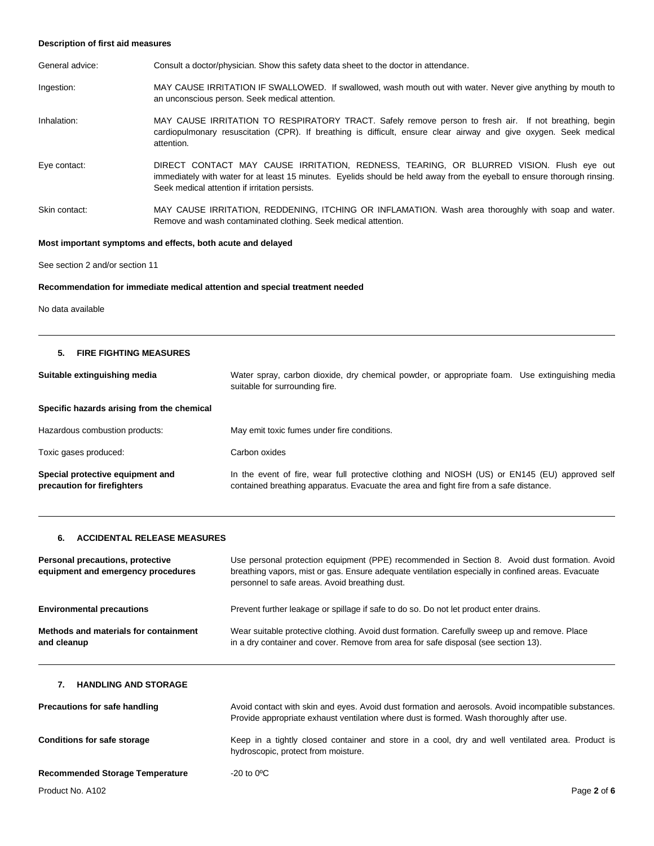#### **Description of first aid measures**

| General advice: | Consult a doctor/physician. Show this safety data sheet to the doctor in attendance.                                                                                                                                                                                  |
|-----------------|-----------------------------------------------------------------------------------------------------------------------------------------------------------------------------------------------------------------------------------------------------------------------|
| Ingestion:      | MAY CAUSE IRRITATION IF SWALLOWED. If swallowed, wash mouth out with water. Never give anything by mouth to<br>an unconscious person. Seek medical attention.                                                                                                         |
| Inhalation:     | MAY CAUSE IRRITATION TO RESPIRATORY TRACT. Safely remove person to fresh air. If not breathing, begin<br>cardiopulmonary resuscitation (CPR). If breathing is difficult, ensure clear airway and give oxygen. Seek medical<br>attention.                              |
| Eye contact:    | DIRECT CONTACT MAY CAUSE IRRITATION, REDNESS, TEARING, OR BLURRED VISION. Flush eye out<br>immediately with water for at least 15 minutes. Eyelids should be held away from the eyeball to ensure thorough rinsing.<br>Seek medical attention if irritation persists. |
| Skin contact:   | MAY CAUSE IRRITATION, REDDENING, ITCHING OR INFLAMATION. Wash area thoroughly with soap and water.<br>Remove and wash contaminated clothing. Seek medical attention.                                                                                                  |

#### **Most important symptoms and effects, both acute and delayed**

See section 2 and/or section 11

#### **Recommendation for immediate medical attention and special treatment needed**

No data available

#### **5. FIRE FIGHTING MEASURES**

| Suitable extinguishing media                                    | Water spray, carbon dioxide, dry chemical powder, or appropriate foam. Use extinguishing media<br>suitable for surrounding fire.                                                        |
|-----------------------------------------------------------------|-----------------------------------------------------------------------------------------------------------------------------------------------------------------------------------------|
| Specific hazards arising from the chemical                      |                                                                                                                                                                                         |
| Hazardous combustion products:                                  | May emit toxic fumes under fire conditions.                                                                                                                                             |
| Toxic gases produced:                                           | Carbon oxides                                                                                                                                                                           |
| Special protective equipment and<br>precaution for firefighters | In the event of fire, wear full protective clothing and NIOSH (US) or EN145 (EU) approved self<br>contained breathing apparatus. Evacuate the area and fight fire from a safe distance. |

#### **6. ACCIDENTAL RELEASE MEASURES**

| Personal precautions, protective<br>equipment and emergency procedures | Use personal protection equipment (PPE) recommended in Section 8. Avoid dust formation. Avoid<br>breathing vapors, mist or gas. Ensure adequate ventilation especially in confined areas. Evacuate<br>personnel to safe areas. Avoid breathing dust. |
|------------------------------------------------------------------------|------------------------------------------------------------------------------------------------------------------------------------------------------------------------------------------------------------------------------------------------------|
| <b>Environmental precautions</b>                                       | Prevent further leakage or spillage if safe to do so. Do not let product enter drains.                                                                                                                                                               |
| Methods and materials for containment<br>and cleanup                   | Wear suitable protective clothing. Avoid dust formation. Carefully sweep up and remove. Place<br>in a dry container and cover. Remove from area for safe disposal (see section 13).                                                                  |

#### **7. HANDLING AND STORAGE**

| Precautions for safe handling          | Avoid contact with skin and eyes. Avoid dust formation and aerosols. Avoid incompatible substances.<br>Provide appropriate exhaust ventilation where dust is formed. Wash thoroughly after use. |
|----------------------------------------|-------------------------------------------------------------------------------------------------------------------------------------------------------------------------------------------------|
| <b>Conditions for safe storage</b>     | Keep in a tightly closed container and store in a cool, dry and well ventilated area. Product is<br>hydroscopic, protect from moisture.                                                         |
| <b>Recommended Storage Temperature</b> | $-20$ to $0^{\circ}$ C                                                                                                                                                                          |
| Product No. A102                       | Page 2 of 6                                                                                                                                                                                     |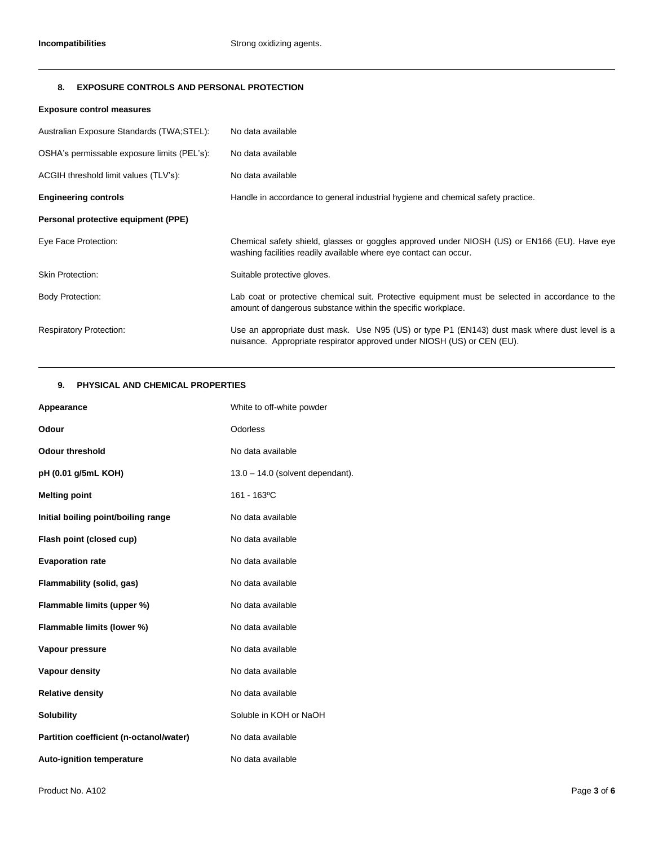#### **8. EXPOSURE CONTROLS AND PERSONAL PROTECTION**

#### **Exposure control measures**

| Australian Exposure Standards (TWA;STEL):   | No data available                                                                                                                                                        |
|---------------------------------------------|--------------------------------------------------------------------------------------------------------------------------------------------------------------------------|
| OSHA's permissable exposure limits (PEL's): | No data available                                                                                                                                                        |
| ACGIH threshold limit values (TLV's):       | No data available                                                                                                                                                        |
| <b>Engineering controls</b>                 | Handle in accordance to general industrial hygiene and chemical safety practice.                                                                                         |
| Personal protective equipment (PPE)         |                                                                                                                                                                          |
| Eye Face Protection:                        | Chemical safety shield, glasses or goggles approved under NIOSH (US) or EN166 (EU). Have eye<br>washing facilities readily available where eye contact can occur.        |
| <b>Skin Protection:</b>                     | Suitable protective gloves.                                                                                                                                              |
| <b>Body Protection:</b>                     | Lab coat or protective chemical suit. Protective equipment must be selected in accordance to the<br>amount of dangerous substance within the specific workplace.         |
| <b>Respiratory Protection:</b>              | Use an appropriate dust mask. Use N95 (US) or type P1 (EN143) dust mask where dust level is a<br>nuisance. Appropriate respirator approved under NIOSH (US) or CEN (EU). |

### **9. PHYSICAL AND CHEMICAL PROPERTIES**

| Appearance                              | White to off-white powder          |
|-----------------------------------------|------------------------------------|
| Odour                                   | Odorless                           |
| <b>Odour threshold</b>                  | No data available                  |
| pH (0.01 g/5mL KOH)                     | $13.0 - 14.0$ (solvent dependant). |
| <b>Melting point</b>                    | 161 - 163°C                        |
| Initial boiling point/boiling range     | No data available                  |
| Flash point (closed cup)                | No data available                  |
| <b>Evaporation rate</b>                 | No data available                  |
| Flammability (solid, gas)               | No data available                  |
| Flammable limits (upper %)              | No data available                  |
| Flammable limits (lower %)              | No data available                  |
| Vapour pressure                         | No data available                  |
| Vapour density                          | No data available                  |
| <b>Relative density</b>                 | No data available                  |
| <b>Solubility</b>                       | Soluble in KOH or NaOH             |
| Partition coefficient (n-octanol/water) | No data available                  |
| <b>Auto-ignition temperature</b>        | No data available                  |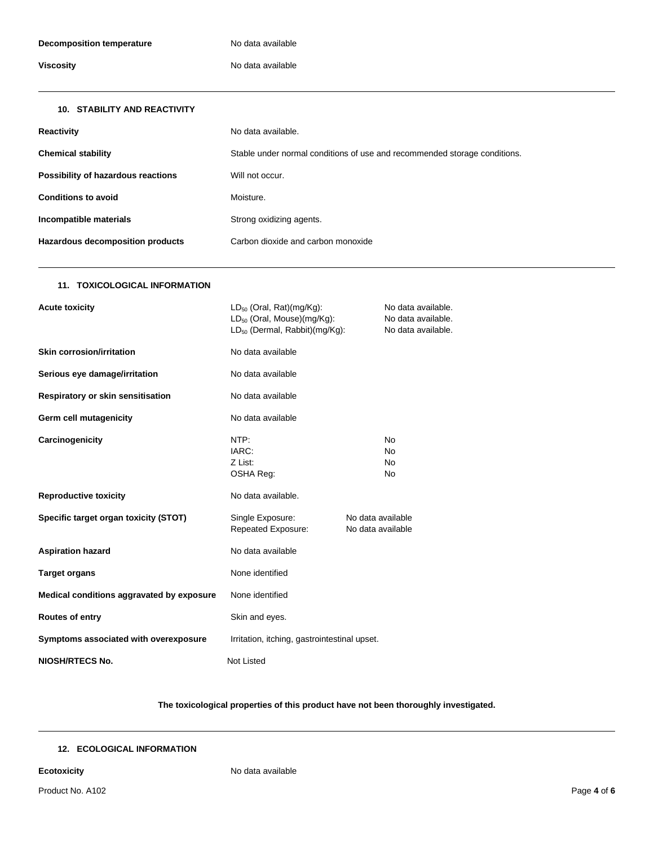## **Viscosity No data available**

| <b>10. STABILITY AND REACTIVITY</b> |                                                                           |
|-------------------------------------|---------------------------------------------------------------------------|
| <b>Reactivity</b>                   | No data available.                                                        |
| <b>Chemical stability</b>           | Stable under normal conditions of use and recommended storage conditions. |
| Possibility of hazardous reactions  | Will not occur.                                                           |
| <b>Conditions to avoid</b>          | Moisture.                                                                 |
| Incompatible materials              | Strong oxidizing agents.                                                  |
| Hazardous decomposition products    | Carbon dioxide and carbon monoxide                                        |

#### **11. TOXICOLOGICAL INFORMATION**

| <b>Acute toxicity</b>                     | $LD_{50}$ (Oral, Rat)(mg/Kg):<br>LD <sub>50</sub> (Oral, Mouse)(mg/Kg):<br>LD <sub>50</sub> (Dermal, Rabbit)(mg/Kg): |                                        | No data available.<br>No data available.<br>No data available. |
|-------------------------------------------|----------------------------------------------------------------------------------------------------------------------|----------------------------------------|----------------------------------------------------------------|
| <b>Skin corrosion/irritation</b>          | No data available                                                                                                    |                                        |                                                                |
| Serious eye damage/irritation             | No data available                                                                                                    |                                        |                                                                |
| Respiratory or skin sensitisation         | No data available                                                                                                    |                                        |                                                                |
| Germ cell mutagenicity                    | No data available                                                                                                    |                                        |                                                                |
| Carcinogenicity                           | NTP:<br>IARC:<br>Z List:<br>OSHA Reg:                                                                                |                                        | No.<br>No.<br><b>No</b><br>No.                                 |
| <b>Reproductive toxicity</b>              | No data available.                                                                                                   |                                        |                                                                |
| Specific target organ toxicity (STOT)     | Single Exposure:<br>Repeated Exposure:                                                                               | No data available<br>No data available |                                                                |
| <b>Aspiration hazard</b>                  | No data available                                                                                                    |                                        |                                                                |
| <b>Target organs</b>                      | None identified                                                                                                      |                                        |                                                                |
| Medical conditions aggravated by exposure | None identified                                                                                                      |                                        |                                                                |
| Routes of entry                           | Skin and eyes.                                                                                                       |                                        |                                                                |
| Symptoms associated with overexposure     | Irritation, itching, gastrointestinal upset.                                                                         |                                        |                                                                |
| <b>NIOSH/RTECS No.</b>                    | <b>Not Listed</b>                                                                                                    |                                        |                                                                |

#### **The toxicological properties of this product have not been thoroughly investigated.**

### **12. ECOLOGICAL INFORMATION**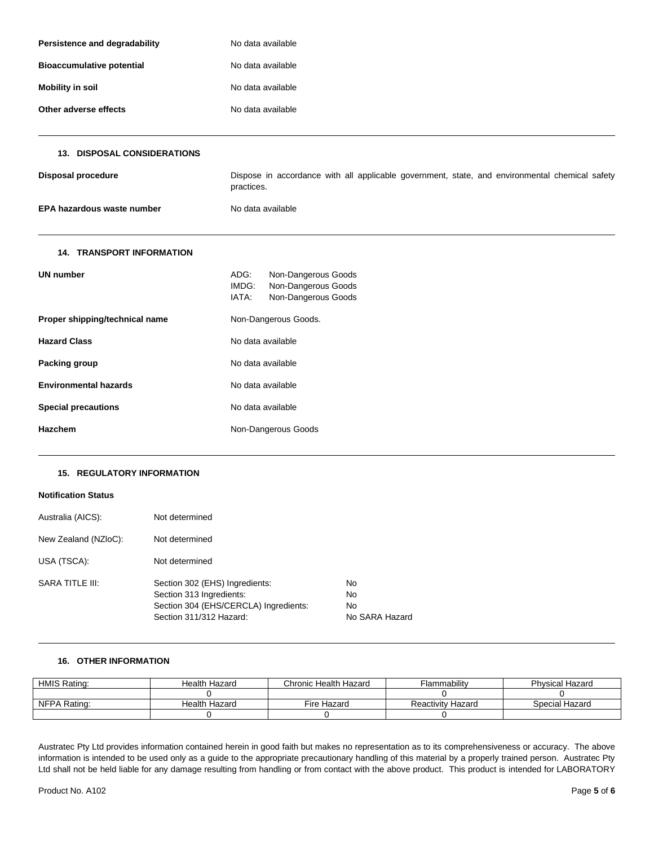| Persistence and degradability    | No data available                                                                                            |  |  |
|----------------------------------|--------------------------------------------------------------------------------------------------------------|--|--|
| <b>Bioaccumulative potential</b> | No data available                                                                                            |  |  |
| <b>Mobility in soil</b>          | No data available                                                                                            |  |  |
| Other adverse effects            | No data available                                                                                            |  |  |
| 13. DISPOSAL CONSIDERATIONS      |                                                                                                              |  |  |
| <b>Disposal procedure</b>        | Dispose in accordance with all applicable government, state, and environmental chemical safety<br>practices. |  |  |
| EPA hazardous waste number       | No data available                                                                                            |  |  |
| <b>14. TRANSPORT INFORMATION</b> |                                                                                                              |  |  |
| <b>UN number</b>                 | ADG:<br>Non-Dangerous Goods<br>IMDG:<br>Non-Dangerous Goods<br>IATA:<br>Non-Dangerous Goods                  |  |  |
| Proper shipping/technical name   | Non-Dangerous Goods.                                                                                         |  |  |
| <b>Hazard Class</b>              | No data available                                                                                            |  |  |
| Packing group                    | No data available                                                                                            |  |  |
| <b>Environmental hazards</b>     | No data available                                                                                            |  |  |
| <b>Special precautions</b>       | No data available                                                                                            |  |  |
| <b>Hazchem</b>                   | Non-Dangerous Goods                                                                                          |  |  |

#### **15. REGULATORY INFORMATION**

#### **Notification Status**

| Australia (AICS):    | Not determined                                                                                                                 |                                         |
|----------------------|--------------------------------------------------------------------------------------------------------------------------------|-----------------------------------------|
| New Zealand (NZIoC): | Not determined                                                                                                                 |                                         |
| USA (TSCA):          | Not determined                                                                                                                 |                                         |
| SARA TITLE III:      | Section 302 (EHS) Ingredients:<br>Section 313 Ingredients:<br>Section 304 (EHS/CERCLA) Ingredients:<br>Section 311/312 Hazard: | No<br>No<br><b>No</b><br>No SARA Hazard |

#### **16. OTHER INFORMATION**

| <b>HMIS Rating:</b> | Health Hazard | Chronic Health Hazard | Flammability             | Physical Hazard |
|---------------------|---------------|-----------------------|--------------------------|-----------------|
|                     |               |                       |                          |                 |
| NFPA Rating:        | Health Hazard | Fire Hazard           | <b>Reactivity Hazard</b> | Special Hazard  |
|                     |               |                       |                          |                 |

Austratec Pty Ltd provides information contained herein in good faith but makes no representation as to its comprehensiveness or accuracy. The above information is intended to be used only as a guide to the appropriate precautionary handling of this material by a properly trained person. Austratec Pty Ltd shall not be held liable for any damage resulting from handling or from contact with the above product. This product is intended for LABORATORY